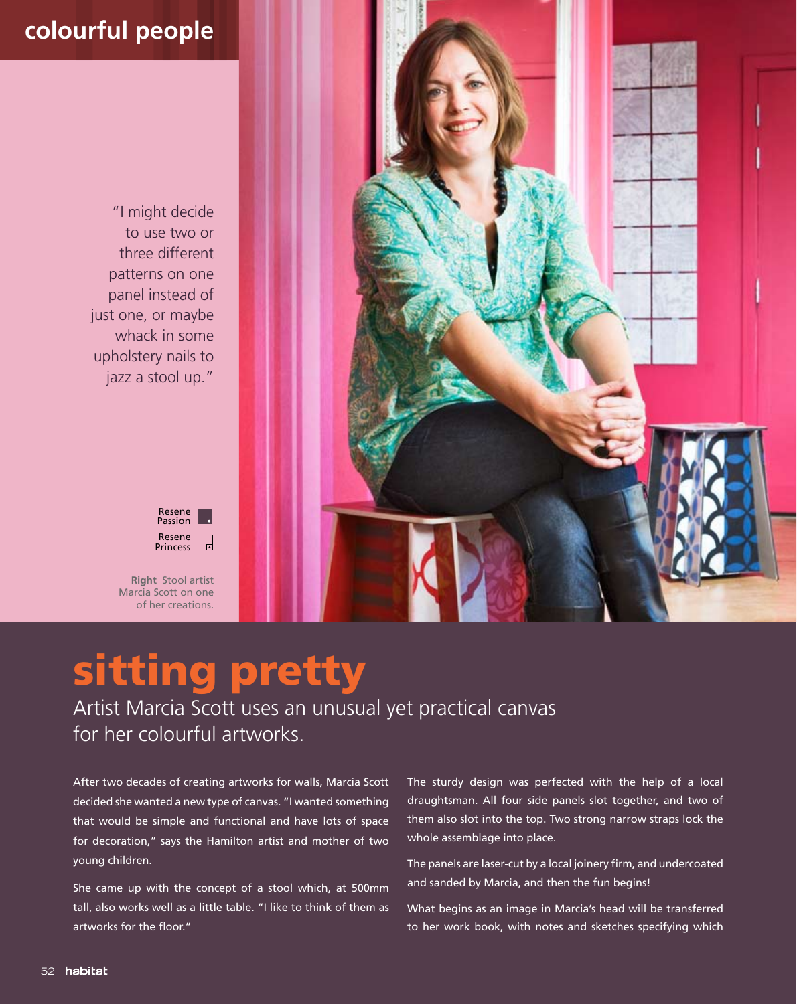## **colourful people**

"I might decide to use two or three different patterns on one panel instead of just one, or maybe whack in some upholstery nails to jazz a stool up."



**Right** Stool artist Marcia Scott on one of her creations.



## sitting pretty

Artist Marcia Scott uses an unusual yet practical canvas for her colourful artworks.

After two decades of creating artworks for walls, Marcia Scott decided she wanted a new type of canvas. "I wanted something that would be simple and functional and have lots of space for decoration," says the Hamilton artist and mother of two young children.

She came up with the concept of a stool which, at 500mm tall, also works well as a little table. "I like to think of them as artworks for the floor."

The sturdy design was perfected with the help of a local draughtsman. All four side panels slot together, and two of them also slot into the top. Two strong narrow straps lock the whole assemblage into place.

The panels are laser-cut by a local joinery firm, and undercoated and sanded by Marcia, and then the fun begins!

What begins as an image in Marcia's head will be transferred to her work book, with notes and sketches specifying which